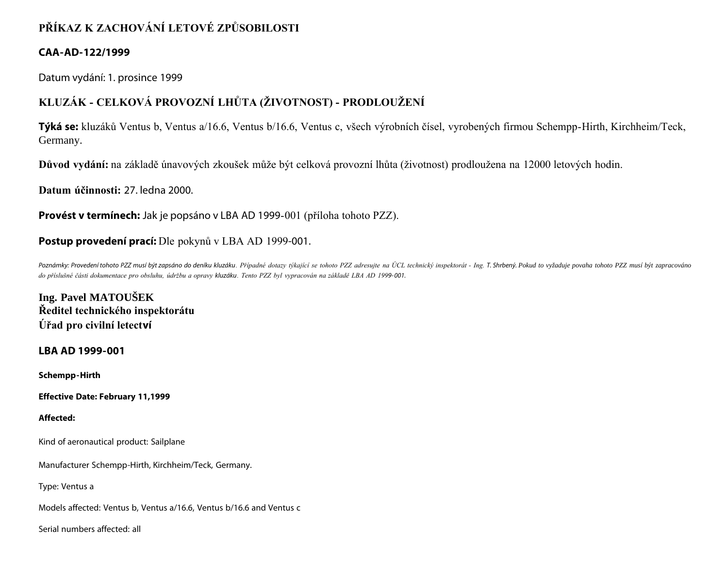# **PŘÍKAZ K ZACHOVÁNÍ LETOVÉ ZPŮSOBILOSTI**

# **CAA-AD-122/1999**

Datum vydání: 1. prosince 1999

# **KLUZÁK - CELKOVÁ PROVOZNÍ LHŮTA (ŽIVOTNOST) - PRODLOUŽENÍ**

**Týká se:** kluzáků Ventus b, Ventus a/16.6, Ventus b/16.6, Ventus c, všech výrobních čísel, vyrobených firmou Schempp-Hirth, Kirchheim/Teck, Germany.

**Důvod vydání:** na základě únavových zkoušek může být celková provozní lhůta (životnost) prodloužena na 12000 letových hodin.

**Datum účinnosti:** 27. ledna 2000.

**Provést v termínech:** Jak je popsáno v LBA AD 1999-001 (příloha tohoto PZZ).

# **Postup provedení prací:** Dle pokynů v LBA AD 1999-001.

Poznámky: Provedení tohoto PZZ musí být zapsáno do deníku kluzáku. Případné dotazy týkající se tohoto PZZ adresujte na ÚCL technický inspektorát - Ing. T. Shrbený. Pokud to vyžaduje povaha tohoto PZZ musí být zapracováno *do příslušné části dokumentace pro obsluhu, údržbu a opravy kluzáku. Tento PZZ byl vypracován na základě LBA AD 1999- 001.*

**Ing. Pavel MATOUŠEK Ředitel technického inspektorátu Úřad pro civilní letectví**

**LBA AD 1999-001**

**Schempp-Hirth**

**Effective Date: February 11,1999**

# **Affected:**

Kind of aeronautical product: Sailplane

Manufacturer Schempp-Hirth, Kirchheim/Teck, Germany.

Type: Ventus a

Models affected: Ventus b, Ventus a/16.6, Ventus b/16.6 and Ventus c

Serial numbers affected: all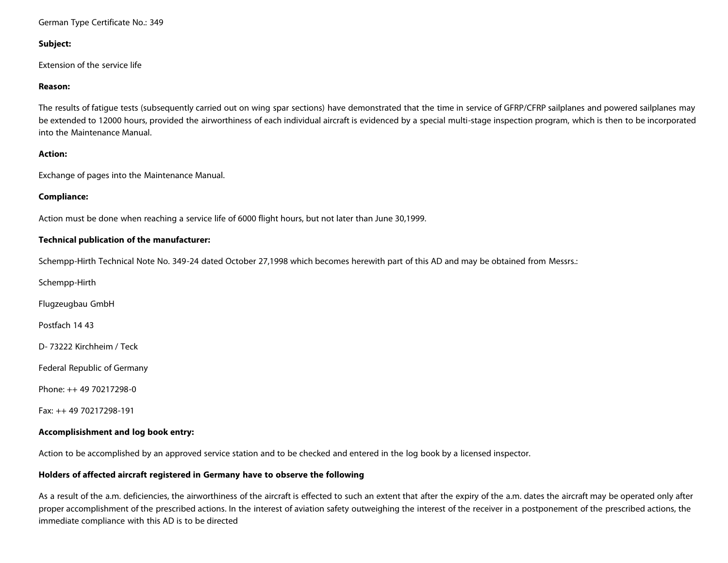#### German Type Certificate No.: 349

## **Subject:**

Extension of the service life

#### **Reason:**

The results of fatigue tests (subsequently carried out on wing spar sections) have demonstrated that the time in service of GFRP/CFRP sailplanes and powered sailplanes may be extended to 12000 hours, provided the airworthiness of each individual aircraft is evidenced by a special multi-stage inspection program, which is then to be incorporated into the Maintenance Manual.

#### **Action:**

Exchange of pages into the Maintenance Manual.

#### **Compliance:**

Action must be done when reaching a service life of 6000 flight hours, but not later than June 30,1999.

#### **Technical publication of the manufacturer:**

Schempp-Hirth Technical Note No. 349-24 dated October 27,1998 which becomes herewith part of this AD and may be obtained from Messrs.:

Schempp-Hirth

Flugzeugbau GmbH

Postfach 14 43

D- 73222 Kirchheim / Teck

Federal Republic of Germany

Phone: ++ 49 70217298-0

Fax: ++ 49 70217298-191

# **Accomplisishment and log book entry:**

Action to be accomplished by an approved service station and to be checked and entered in the log book by a licensed inspector.

# **Holders of affected aircraft registered in Germany have to observe the following**

As a result of the a.m. deficiencies, the airworthiness of the aircraft is effected to such an extent that after the expiry of the a.m. dates the aircraft may be operated only after proper accomplishment of the prescribed actions. In the interest of aviation safety outweighing the interest of the receiver in a postponement of the prescribed actions, the immediate compliance with this AD is to be directed